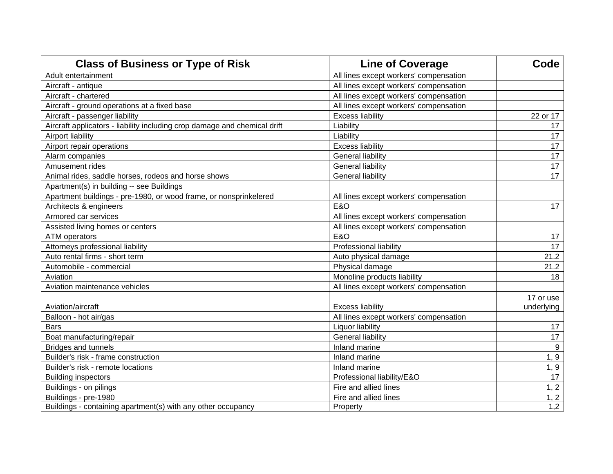| <b>Class of Business or Type of Risk</b>                                  | <b>Line of Coverage</b>                | Code                    |
|---------------------------------------------------------------------------|----------------------------------------|-------------------------|
| Adult entertainment                                                       | All lines except workers' compensation |                         |
| Aircraft - antique                                                        | All lines except workers' compensation |                         |
| Aircraft - chartered                                                      | All lines except workers' compensation |                         |
| Aircraft - ground operations at a fixed base                              | All lines except workers' compensation |                         |
| Aircraft - passenger liability                                            | <b>Excess liability</b>                | 22 or 17                |
| Aircraft applicators - liability including crop damage and chemical drift | Liability                              | 17                      |
| Airport liability                                                         | Liability                              | 17                      |
| Airport repair operations                                                 | <b>Excess liability</b>                | 17                      |
| Alarm companies                                                           | <b>General liability</b>               | 17                      |
| Amusement rides                                                           | <b>General liability</b>               | 17                      |
| Animal rides, saddle horses, rodeos and horse shows                       | <b>General liability</b>               | 17                      |
| Apartment(s) in building -- see Buildings                                 |                                        |                         |
| Apartment buildings - pre-1980, or wood frame, or nonsprinkelered         | All lines except workers' compensation |                         |
| Architects & engineers                                                    | <b>E&amp;O</b>                         | 17                      |
| Armored car services                                                      | All lines except workers' compensation |                         |
| Assisted living homes or centers                                          | All lines except workers' compensation |                         |
| <b>ATM</b> operators                                                      | <b>E&amp;O</b>                         | 17                      |
| Attorneys professional liability                                          | Professional liability                 | 17                      |
| Auto rental firms - short term                                            | Auto physical damage                   | 21.2                    |
| Automobile - commercial                                                   | Physical damage                        | 21.2                    |
| Aviation                                                                  | Monoline products liability            | 18                      |
| Aviation maintenance vehicles                                             | All lines except workers' compensation |                         |
| Aviation/aircraft                                                         | <b>Excess liability</b>                | 17 or use<br>underlying |
| Balloon - hot air/gas                                                     | All lines except workers' compensation |                         |
| <b>Bars</b>                                                               | Liquor liability                       | 17                      |
| Boat manufacturing/repair                                                 | <b>General liability</b>               | 17                      |
| Bridges and tunnels                                                       | Inland marine                          | 9                       |
| Builder's risk - frame construction                                       | Inland marine                          | 1, 9                    |
| Builder's risk - remote locations                                         | Inland marine                          | 1, 9                    |
| <b>Building inspectors</b>                                                | Professional liability/E&O             | 17                      |
| Buildings - on pilings                                                    | Fire and allied lines                  | 1, 2                    |
| Buildings - pre-1980                                                      | Fire and allied lines                  | 1, 2                    |
| Buildings - containing apartment(s) with any other occupancy              | Property                               | 1,2                     |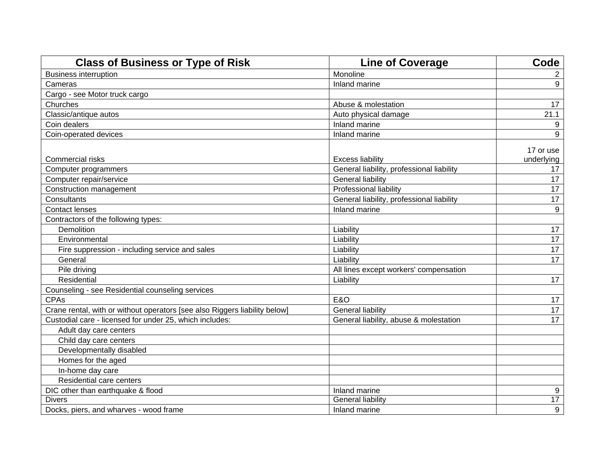| <b>Class of Business or Type of Risk</b>                                   | <b>Line of Coverage</b>                                              | Code                          |
|----------------------------------------------------------------------------|----------------------------------------------------------------------|-------------------------------|
| <b>Business interruption</b>                                               | Monoline                                                             | 2                             |
| Cameras                                                                    | Inland marine                                                        | 9                             |
| Cargo - see Motor truck cargo                                              |                                                                      |                               |
| Churches                                                                   | Abuse & molestation                                                  | 17                            |
| Classic/antique autos                                                      | Auto physical damage                                                 | 21.1                          |
| Coin dealers                                                               | Inland marine                                                        | 9                             |
| Coin-operated devices                                                      | Inland marine                                                        | 9                             |
| Commercial risks<br>Computer programmers                                   | <b>Excess liability</b><br>General liability, professional liability | 17 or use<br>underlying<br>17 |
| Computer repair/service                                                    | <b>General liability</b>                                             | 17                            |
| Construction management                                                    | Professional liability                                               | 17                            |
| Consultants                                                                | General liability, professional liability                            | 17                            |
| <b>Contact lenses</b>                                                      | Inland marine                                                        | 9                             |
| Contractors of the following types:                                        |                                                                      |                               |
| Demolition                                                                 | Liability                                                            | 17                            |
| Environmental                                                              | Liability                                                            | 17                            |
| Fire suppression - including service and sales                             | Liability                                                            | 17                            |
| General                                                                    | Liability                                                            | 17                            |
| Pile driving                                                               | All lines except workers' compensation                               |                               |
| Residential                                                                | Liability                                                            | 17                            |
| Counseling - see Residential counseling services                           |                                                                      |                               |
| <b>CPAs</b>                                                                | <b>E&amp;O</b>                                                       | 17                            |
| Crane rental, with or without operators [see also Riggers liability below] | <b>General liability</b>                                             | 17                            |
| Custodial care - licensed for under 25, which includes:                    | General liability, abuse & molestation                               | 17                            |
| Adult day care centers                                                     |                                                                      |                               |
| Child day care centers                                                     |                                                                      |                               |
| Developmentally disabled                                                   |                                                                      |                               |
| Homes for the aged                                                         |                                                                      |                               |
| In-home day care                                                           |                                                                      |                               |
| Residential care centers                                                   |                                                                      |                               |
| DIC other than earthquake & flood                                          | Inland marine                                                        | 9                             |
| <b>Divers</b>                                                              | <b>General liability</b>                                             | $\overline{17}$               |
| Docks, piers, and wharves - wood frame                                     | Inland marine                                                        | 9                             |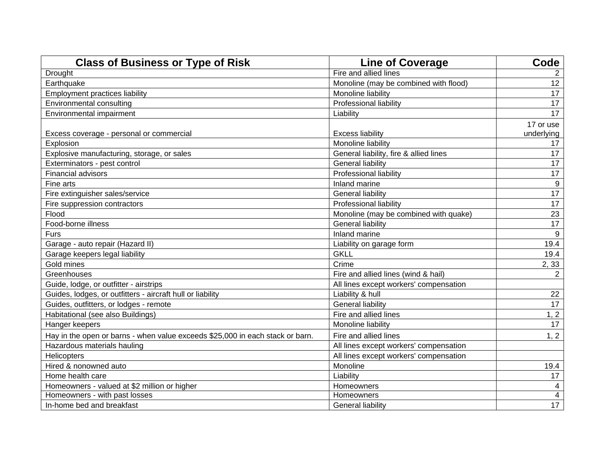| <b>Class of Business or Type of Risk</b>                                      | <b>Line of Coverage</b>                | Code             |
|-------------------------------------------------------------------------------|----------------------------------------|------------------|
| Drought                                                                       | Fire and allied lines                  | $\overline{2}$   |
| Earthquake                                                                    | Monoline (may be combined with flood)  | 12               |
| <b>Employment practices liability</b>                                         | Monoline liability                     | 17               |
| Environmental consulting                                                      | Professional liability                 | 17               |
| Environmental impairment                                                      | Liability                              | 17               |
|                                                                               |                                        | 17 or use        |
| Excess coverage - personal or commercial                                      | <b>Excess liability</b>                | underlying       |
| Explosion                                                                     | Monoline liability                     | 17               |
| Explosive manufacturing, storage, or sales                                    | General liability, fire & allied lines | 17               |
| Exterminators - pest control                                                  | <b>General liability</b>               | 17               |
| Financial advisors                                                            | Professional liability                 | 17               |
| Fine arts                                                                     | Inland marine                          | $\boldsymbol{9}$ |
| Fire extinguisher sales/service                                               | <b>General liability</b>               | 17               |
| Fire suppression contractors                                                  | Professional liability                 | 17               |
| Flood                                                                         | Monoline (may be combined with quake)  | 23               |
| Food-borne illness                                                            | <b>General liability</b>               | 17               |
| Furs                                                                          | Inland marine                          | 9                |
| Garage - auto repair (Hazard II)                                              | Liability on garage form               | 19.4             |
| Garage keepers legal liability                                                | <b>GKLL</b>                            | 19.4             |
| Gold mines                                                                    | Crime                                  | 2,33             |
| Greenhouses                                                                   | Fire and allied lines (wind & hail)    | $\overline{2}$   |
| Guide, lodge, or outfitter - airstrips                                        | All lines except workers' compensation |                  |
| Guides, lodges, or outfitters - aircraft hull or liability                    | Liability & hull                       | 22               |
| Guides, outfitters, or lodges - remote                                        | <b>General liability</b>               | 17               |
| Habitational (see also Buildings)                                             | Fire and allied lines                  | 1, 2             |
| Hanger keepers                                                                | Monoline liability                     | 17               |
| Hay in the open or barns - when value exceeds \$25,000 in each stack or barn. | Fire and allied lines                  | 1, 2             |
| Hazardous materials hauling                                                   | All lines except workers' compensation |                  |
| Helicopters                                                                   | All lines except workers' compensation |                  |
| Hired & nonowned auto                                                         | Monoline                               | 19.4             |
| Home health care                                                              | Liability                              | 17               |
| Homeowners - valued at \$2 million or higher                                  | Homeowners                             | 4                |
| Homeowners - with past losses                                                 | Homeowners                             | 4                |
| In-home bed and breakfast                                                     | <b>General liability</b>               | 17               |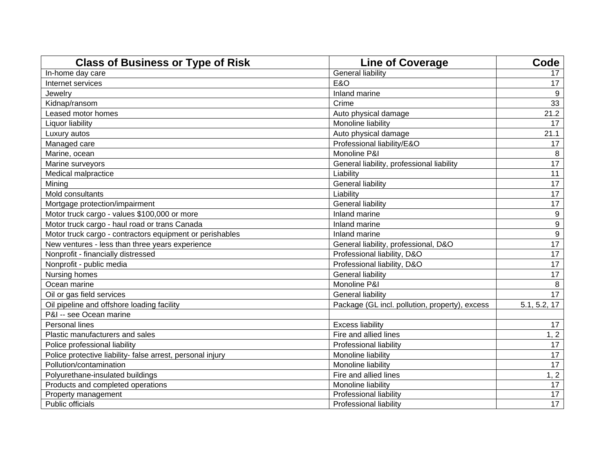| <b>Class of Business or Type of Risk</b>                   | <b>Line of Coverage</b>                        | Code         |
|------------------------------------------------------------|------------------------------------------------|--------------|
| In-home day care                                           | <b>General liability</b>                       | 17           |
| Internet services                                          | <b>E&amp;O</b>                                 | 17           |
| Jewelry                                                    | Inland marine                                  | 9            |
| Kidnap/ransom                                              | Crime                                          | 33           |
| Leased motor homes                                         | Auto physical damage                           | 21.2         |
| Liquor liability                                           | Monoline liability                             | 17           |
| Luxury autos                                               | Auto physical damage                           | 21.1         |
| Managed care                                               | Professional liability/E&O                     | 17           |
| Marine, ocean                                              | Monoline P&I                                   | 8            |
| Marine surveyors                                           | General liability, professional liability      | 17           |
| Medical malpractice                                        | Liability                                      | 11           |
| Mining                                                     | <b>General liability</b>                       | 17           |
| Mold consultants                                           | Liability                                      | 17           |
| Mortgage protection/impairment                             | <b>General liability</b>                       | 17           |
| Motor truck cargo - values \$100,000 or more               | Inland marine                                  | 9            |
| Motor truck cargo - haul road or trans Canada              | Inland marine                                  | 9            |
| Motor truck cargo - contractors equipment or perishables   | Inland marine                                  | 9            |
| New ventures - less than three years experience            | General liability, professional, D&O           | 17           |
| Nonprofit - financially distressed                         | Professional liability, D&O                    | 17           |
| Nonprofit - public media                                   | Professional liability, D&O                    | 17           |
| Nursing homes                                              | <b>General liability</b>                       | 17           |
| Ocean marine                                               | Monoline P&I                                   | 8            |
| Oil or gas field services                                  | <b>General liability</b>                       | 17           |
| Oil pipeline and offshore loading facility                 | Package (GL incl. pollution, property), excess | 5.1, 5.2, 17 |
| P&I -- see Ocean marine                                    |                                                |              |
| Personal lines                                             | <b>Excess liability</b>                        | 17           |
| Plastic manufacturers and sales                            | Fire and allied lines                          | 1, 2         |
| Police professional liability                              | Professional liability                         | 17           |
| Police protective liability- false arrest, personal injury | Monoline liability                             | 17           |
| Pollution/contamination                                    | Monoline liability                             | 17           |
| Polyurethane-insulated buildings                           | Fire and allied lines                          | 1, 2         |
| Products and completed operations                          | Monoline liability                             | 17           |
| Property management                                        | Professional liability                         | 17           |
| Public officials                                           | Professional liability                         | 17           |